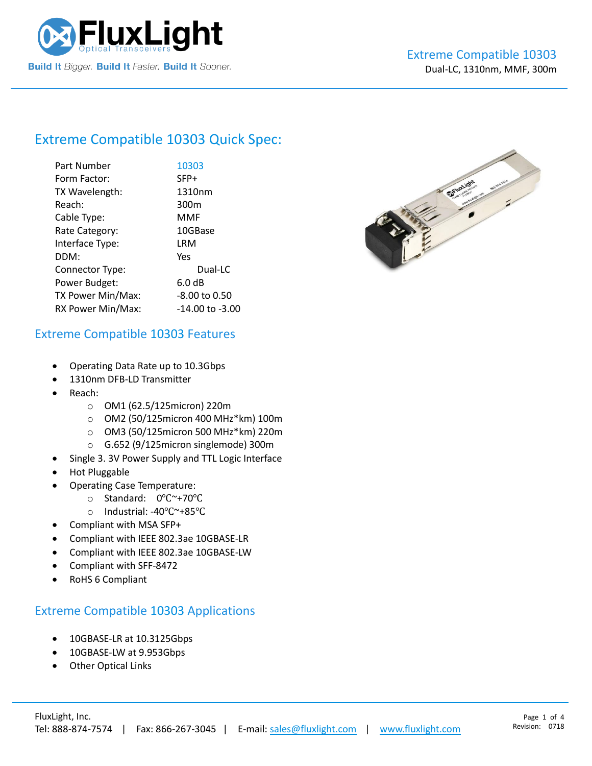

# Extreme Compatible [10303](https://www.fluxlight.com/10303/) Quick Spec:

| Part Number       | 10303            |
|-------------------|------------------|
| Form Factor:      | SFP+             |
| TX Wavelength:    | 1310nm           |
| Reach:            | 300 <sub>m</sub> |
| Cable Type:       | MMF              |
| Rate Category:    | 10GBase          |
| Interface Type:   | LRM              |
| DDM:              | Yes              |
| Connector Type:   | Dual-LC          |
| Power Budget:     | 6.0 dB           |
| TX Power Min/Max: | -8.00 to 0.50    |
| RX Power Min/Max: | -14.00 to -3.00  |



#### Extreme Compatible [10303](https://www.fluxlight.com/10303/) Features

- Operating Data Rate up to 10.3Gbps
- 1310nm DFB-LD Transmitter
- Reach:
	- o OM1 (62.5/125micron) 220m
	- o OM2 (50/125micron 400 MHz\*km) 100m
	- o OM3 (50/125micron 500 MHz\*km) 220m
	- o G.652 (9/125micron singlemode) 300m
- Single 3. 3V Power Supply and TTL Logic Interface
- Hot Pluggable
- Operating Case Temperature:
	- o Standard: 0℃~+70℃
	- o Industrial: -40℃~+85℃
- Compliant with MSA SFP+
- Compliant with IEEE 802.3ae 10GBASE-LR
- Compliant with IEEE 802.3ae 10GBASE-LW
- Compliant with SFF-8472
- RoHS 6 Compliant

### Extreme Compatible [10303](https://www.fluxlight.com/10303/) Applications

- 10GBASE-LR at 10.3125Gbps
- 10GBASE-LW at 9.953Gbps
- **Other Optical Links**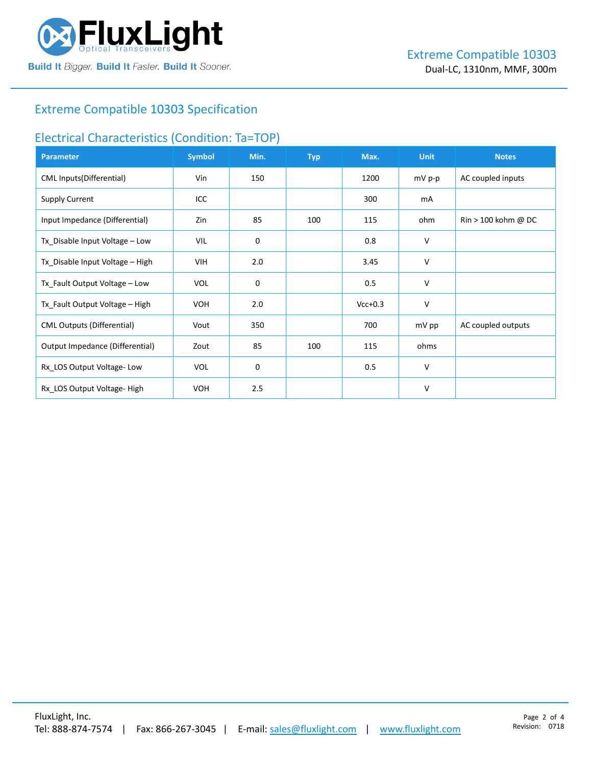

### Extreme Compatible [10303](https://www.fluxlight.com/10303/) Specification

#### Electrical Characteristics (Condition: Ta=TOP)

| <b>Parameter</b>                  | <b>Symbol</b> | Min. | <b>Typ</b> | Max.      | <b>Unit</b> | <b>Notes</b>                          |
|-----------------------------------|---------------|------|------------|-----------|-------------|---------------------------------------|
| <b>CML Inputs(Differential)</b>   | Vin           | 150  |            | 1200      | $mV$ p-p    | AC coupled inputs                     |
| <b>Supply Current</b>             | ICC           |      |            | 300       | mA          |                                       |
| Input Impedance (Differential)    | Zin           | 85   | 100        | 115       | ohm         | $\text{Rin} > 100 \text{ kohm } @$ DC |
| Tx_Disable Input Voltage - Low    | VIL           | 0    |            | 0.8       | V           |                                       |
| Tx_Disable Input Voltage - High   | VIH.          | 2.0  |            | 3.45      | V           |                                       |
| Tx_Fault Output Voltage - Low     | <b>VOL</b>    | 0    |            | 0.5       | V           |                                       |
| Tx_Fault Output Voltage - High    | <b>VOH</b>    | 2.0  |            | $Vcc+0.3$ | V           |                                       |
| <b>CML Outputs (Differential)</b> | Vout          | 350  |            | 700       | mV pp       | AC coupled outputs                    |
| Output Impedance (Differential)   | Zout          | 85   | 100        | 115       | ohms        |                                       |
| Rx_LOS Output Voltage-Low         | <b>VOL</b>    | 0    |            | 0.5       | V           |                                       |
| Rx_LOS Output Voltage-High        | <b>VOH</b>    | 2.5  |            |           | V           |                                       |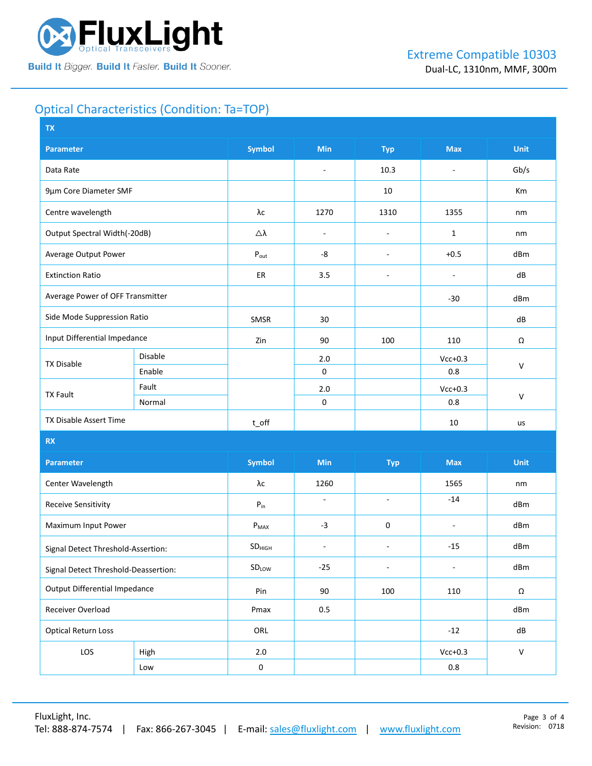

## Optical Characteristics (Condition: Ta=TOP)

| <b>TX</b>                            |         |                            |                          |                          |                          |              |  |
|--------------------------------------|---------|----------------------------|--------------------------|--------------------------|--------------------------|--------------|--|
| <b>Parameter</b>                     |         | <b>Symbol</b>              | Min                      | <b>Typ</b>               | <b>Max</b>               | <b>Unit</b>  |  |
| Data Rate                            |         |                            | $\overline{\phantom{a}}$ | 10.3                     | $\overline{\phantom{a}}$ | Gb/s         |  |
| 9µm Core Diameter SMF                |         |                            |                          | 10                       |                          | Km           |  |
| Centre wavelength                    |         | λс                         | 1270                     | 1310                     | 1355                     | nm           |  |
| Output Spectral Width(-20dB)         |         | Δλ                         | $\overline{\phantom{a}}$ | $\overline{\phantom{a}}$ | $\mathbf{1}$             | nm           |  |
| Average Output Power                 |         | $P_{\text{out}}$           | -8                       | $\overline{\phantom{a}}$ | $+0.5$                   | dBm          |  |
| <b>Extinction Ratio</b>              |         | ER                         | 3.5                      | $\overline{\phantom{a}}$ | $\overline{\phantom{a}}$ | dB           |  |
| Average Power of OFF Transmitter     |         |                            |                          |                          | $-30$                    | dBm          |  |
| Side Mode Suppression Ratio          |         | SMSR                       | 30                       |                          |                          | dB           |  |
| Input Differential Impedance         |         | Zin                        | 90                       | 100                      | 110                      | Ω            |  |
| <b>TX Disable</b>                    | Disable |                            | 2.0                      |                          | $Vcc+0.3$                |              |  |
|                                      | Enable  |                            | 0                        |                          | 0.8                      | $\mathsf{V}$ |  |
| <b>TX Fault</b>                      | Fault   |                            | $2.0$                    |                          | $Vcc+0.3$                |              |  |
|                                      | Normal  |                            | 0                        |                          | 0.8                      | $\vee$       |  |
| TX Disable Assert Time               |         | $t$ <sub>O</sub> ff        |                          |                          | $10\,$                   | us           |  |
| RX                                   |         |                            |                          |                          |                          |              |  |
| <b>Parameter</b>                     |         | <b>Symbol</b>              | Min                      | <b>Typ</b>               | <b>Max</b>               | <b>Unit</b>  |  |
| Center Wavelength                    |         | λс                         | 1260                     |                          | 1565                     | nm           |  |
| <b>Receive Sensitivity</b>           |         | $\mathsf{P}_{\mathsf{in}}$ | $\omega$                 | $\omega$                 | $-14$                    | dBm          |  |
| Maximum Input Power                  |         | $P_{MAX}$                  | $-3$                     | 0                        | $\overline{\phantom{a}}$ | dBm          |  |
| Signal Detect Threshold-Assertion:   |         | SD <sub>HIGH</sub>         | $\overline{\phantom{a}}$ | $\overline{\phantom{a}}$ | $-15$                    | dBm          |  |
| Signal Detect Threshold-Deassertion: |         | SDLOW                      | $-25$                    | $\blacksquare$           | $\overline{\phantom{a}}$ | dBm          |  |
| <b>Output Differential Impedance</b> |         | Pin                        | 90                       | 100                      | 110                      | $\Omega$     |  |
| Receiver Overload                    |         | Pmax                       | 0.5                      |                          |                          | dBm          |  |
| <b>Optical Return Loss</b>           |         | ORL                        |                          |                          | $-12$                    | ${\sf dB}$   |  |
| LOS                                  | High    | $2.0\,$                    |                          |                          | $Vcc+0.3$                | $\mathsf{V}$ |  |
|                                      | Low     | $\pmb{0}$                  |                          |                          | $0.8\,$                  |              |  |